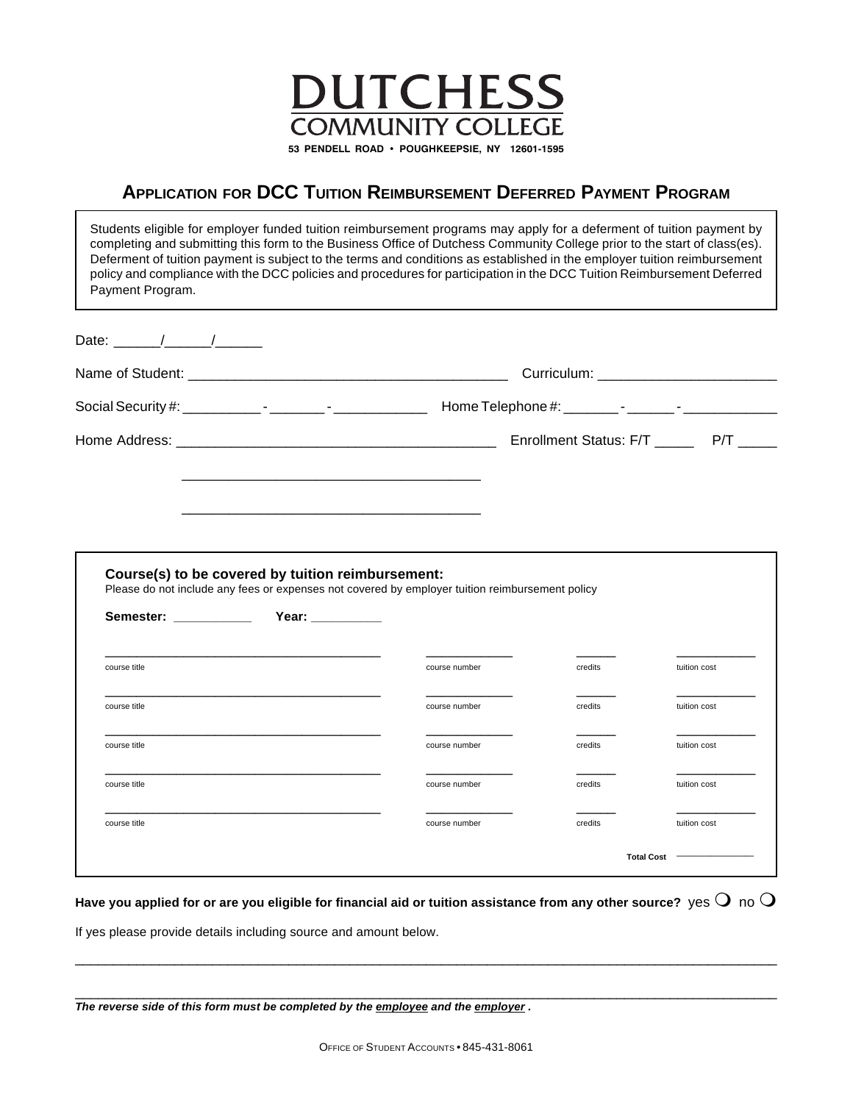

## **APPLICATION FOR DCC TUITION REIMBURSEMENT DEFERRED PAYMENT PROGRAM**

| Payment Program.      |                                                                       | Students eligible for employer funded tuition reimbursement programs may apply for a deferment of tuition payment by<br>completing and submitting this form to the Business Office of Dutchess Community College prior to the start of class(es).<br>Deferment of tuition payment is subject to the terms and conditions as established in the employer tuition reimbursement<br>policy and compliance with the DCC policies and procedures for participation in the DCC Tuition Reimbursement Deferred |                                           |              |
|-----------------------|-----------------------------------------------------------------------|---------------------------------------------------------------------------------------------------------------------------------------------------------------------------------------------------------------------------------------------------------------------------------------------------------------------------------------------------------------------------------------------------------------------------------------------------------------------------------------------------------|-------------------------------------------|--------------|
|                       |                                                                       |                                                                                                                                                                                                                                                                                                                                                                                                                                                                                                         |                                           |              |
|                       |                                                                       |                                                                                                                                                                                                                                                                                                                                                                                                                                                                                                         |                                           |              |
|                       |                                                                       |                                                                                                                                                                                                                                                                                                                                                                                                                                                                                                         |                                           |              |
|                       |                                                                       |                                                                                                                                                                                                                                                                                                                                                                                                                                                                                                         | Enrollment Status: F/T ________ P/T _____ |              |
|                       |                                                                       |                                                                                                                                                                                                                                                                                                                                                                                                                                                                                                         |                                           |              |
|                       |                                                                       |                                                                                                                                                                                                                                                                                                                                                                                                                                                                                                         |                                           |              |
| Semester: ___________ | Course(s) to be covered by tuition reimbursement:<br>Year: __________ | Please do not include any fees or expenses not covered by employer tuition reimbursement policy                                                                                                                                                                                                                                                                                                                                                                                                         |                                           |              |
| course title          |                                                                       | course number                                                                                                                                                                                                                                                                                                                                                                                                                                                                                           | credits                                   | tuition cost |
| course title          |                                                                       | course number                                                                                                                                                                                                                                                                                                                                                                                                                                                                                           | credits                                   | tuition cost |
| course title          |                                                                       | course number                                                                                                                                                                                                                                                                                                                                                                                                                                                                                           | credits                                   | tuition cost |
| course title          |                                                                       | course number                                                                                                                                                                                                                                                                                                                                                                                                                                                                                           | credits                                   | tuition cost |
| course title          |                                                                       | course number                                                                                                                                                                                                                                                                                                                                                                                                                                                                                           | credits                                   | tuition cost |

Have you applied for or are you eligible for financial aid or tuition assistance from any other source?  $\,$  yes  $\bf{O}\,$  no  $\bf{O}$ 

\_\_\_\_\_\_\_\_\_\_\_\_\_\_\_\_\_\_\_\_\_\_\_\_\_\_\_\_\_\_\_\_\_\_\_\_\_\_\_\_\_\_\_\_\_\_\_\_\_\_\_\_\_\_\_\_\_\_\_\_\_\_\_\_\_\_\_\_\_\_\_\_\_\_\_\_\_\_\_\_\_\_\_\_\_\_\_\_\_\_\_\_

\_\_\_\_\_\_\_\_\_\_\_\_\_\_\_\_\_\_\_\_\_\_\_\_\_\_\_\_\_\_\_\_\_\_\_\_\_\_\_\_\_\_\_\_\_\_\_\_\_\_\_\_\_\_\_\_\_\_\_\_\_\_\_\_\_\_\_\_\_\_\_\_\_\_\_\_\_\_\_\_\_\_\_\_\_\_\_\_\_\_\_\_

If yes please provide details including source and amount below.

| The reverse side of this form must be completed by the employee and the employer . |  |  |  |
|------------------------------------------------------------------------------------|--|--|--|
|------------------------------------------------------------------------------------|--|--|--|